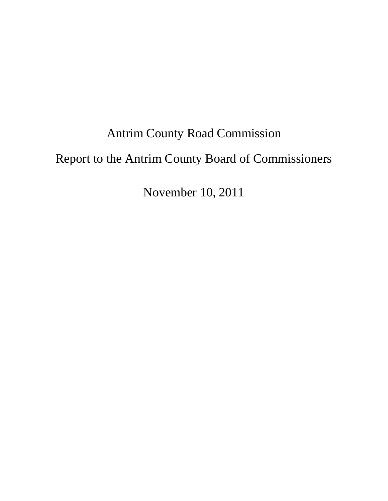# Antrim County Road Commission Report to the Antrim County Board of Commissioners

November 10, 2011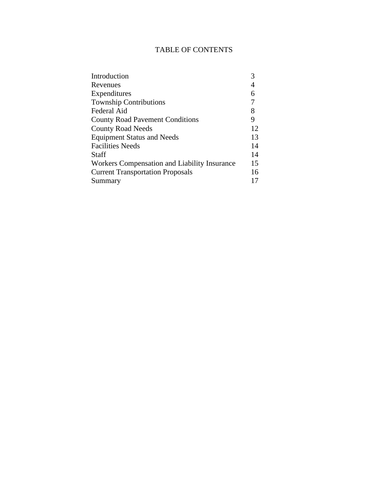# TABLE OF CONTENTS

| 4  |
|----|
| 6  |
|    |
| 8  |
| 9  |
| 12 |
| 13 |
| 14 |
| 14 |
| 15 |
| 16 |
|    |
|    |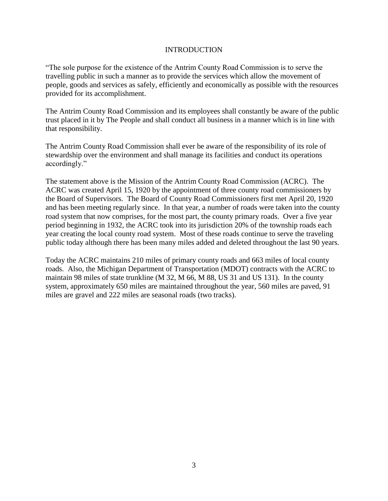## INTRODUCTION

"The sole purpose for the existence of the Antrim County Road Commission is to serve the travelling public in such a manner as to provide the services which allow the movement of people, goods and services as safely, efficiently and economically as possible with the resources provided for its accomplishment.

The Antrim County Road Commission and its employees shall constantly be aware of the public trust placed in it by The People and shall conduct all business in a manner which is in line with that responsibility.

The Antrim County Road Commission shall ever be aware of the responsibility of its role of stewardship over the environment and shall manage its facilities and conduct its operations accordingly."

The statement above is the Mission of the Antrim County Road Commission (ACRC). The ACRC was created April 15, 1920 by the appointment of three county road commissioners by the Board of Supervisors. The Board of County Road Commissioners first met April 20, 1920 and has been meeting regularly since. In that year, a number of roads were taken into the county road system that now comprises, for the most part, the county primary roads. Over a five year period beginning in 1932, the ACRC took into its jurisdiction 20% of the township roads each year creating the local county road system. Most of these roads continue to serve the traveling public today although there has been many miles added and deleted throughout the last 90 years.

Today the ACRC maintains 210 miles of primary county roads and 663 miles of local county roads. Also, the Michigan Department of Transportation (MDOT) contracts with the ACRC to maintain 98 miles of state trunkline (M 32, M 66, M 88, US 31 and US 131). In the county system, approximately 650 miles are maintained throughout the year, 560 miles are paved, 91 miles are gravel and 222 miles are seasonal roads (two tracks).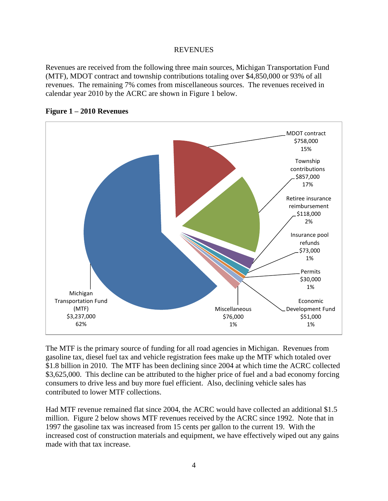## **REVENUES**

Revenues are received from the following three main sources, Michigan Transportation Fund (MTF), MDOT contract and township contributions totaling over \$4,850,000 or 93% of all revenues. The remaining 7% comes from miscellaneous sources. The revenues received in calendar year 2010 by the ACRC are shown in Figure 1 below.



# **Figure 1 – 2010 Revenues**

The MTF is the primary source of funding for all road agencies in Michigan. Revenues from gasoline tax, diesel fuel tax and vehicle registration fees make up the MTF which totaled over \$1.8 billion in 2010. The MTF has been declining since 2004 at which time the ACRC collected \$3,625,000. This decline can be attributed to the higher price of fuel and a bad economy forcing consumers to drive less and buy more fuel efficient. Also, declining vehicle sales has contributed to lower MTF collections.

Had MTF revenue remained flat since 2004, the ACRC would have collected an additional \$1.5 million. Figure 2 below shows MTF revenues received by the ACRC since 1992. Note that in 1997 the gasoline tax was increased from 15 cents per gallon to the current 19. With the increased cost of construction materials and equipment, we have effectively wiped out any gains made with that tax increase.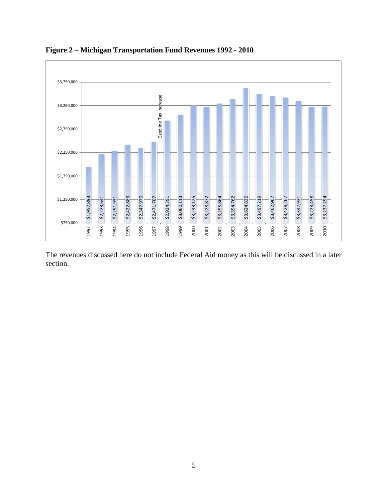

**Figure 2 – Michigan Transportation Fund Revenues 1992 - 2010**

The revenues discussed here do not include Federal Aid money as this will be discussed in a later section.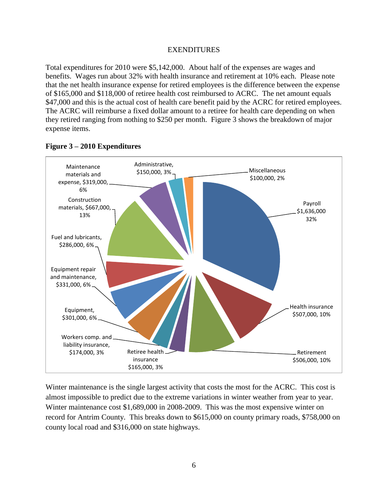#### EXENDITURES

Total expenditures for 2010 were \$5,142,000. About half of the expenses are wages and benefits. Wages run about 32% with health insurance and retirement at 10% each. Please note that the net health insurance expense for retired employees is the difference between the expense of \$165,000 and \$118,000 of retiree health cost reimbursed to ACRC. The net amount equals \$47,000 and this is the actual cost of health care benefit paid by the ACRC for retired employees. The ACRC will reimburse a fixed dollar amount to a retiree for health care depending on when they retired ranging from nothing to \$250 per month. Figure 3 shows the breakdown of major expense items.



# **Figure 3 – 2010 Expenditures**

Winter maintenance is the single largest activity that costs the most for the ACRC. This cost is almost impossible to predict due to the extreme variations in winter weather from year to year. Winter maintenance cost \$1,689,000 in 2008-2009. This was the most expensive winter on record for Antrim County. This breaks down to \$615,000 on county primary roads, \$758,000 on county local road and \$316,000 on state highways.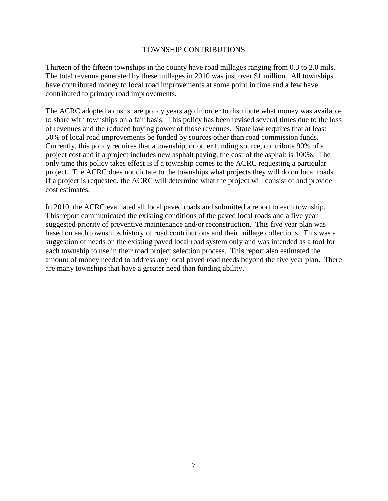#### TOWNSHIP CONTRIBUTIONS

Thirteen of the fifteen townships in the county have road millages ranging from 0.3 to 2.0 mils. The total revenue generated by these millages in 2010 was just over \$1 million. All townships have contributed money to local road improvements at some point in time and a few have contributed to primary road improvements.

The ACRC adopted a cost share policy years ago in order to distribute what money was available to share with townships on a fair basis. This policy has been revised several times due to the loss of revenues and the reduced buying power of those revenues. State law requires that at least 50% of local road improvements be funded by sources other than road commission funds. Currently, this policy requires that a township, or other funding source, contribute 90% of a project cost and if a project includes new asphalt paving, the cost of the asphalt is 100%. The only time this policy takes effect is if a township comes to the ACRC requesting a particular project. The ACRC does not dictate to the townships what projects they will do on local roads. If a project is requested, the ACRC will determine what the project will consist of and provide cost estimates.

In 2010, the ACRC evaluated all local paved roads and submitted a report to each township. This report communicated the existing conditions of the paved local roads and a five year suggested priority of preventive maintenance and/or reconstruction. This five year plan was based on each townships history of road contributions and their millage collections. This was a suggestion of needs on the existing paved local road system only and was intended as a tool for each township to use in their road project selection process. This report also estimated the amount of money needed to address any local paved road needs beyond the five year plan. There are many townships that have a greater need than funding ability.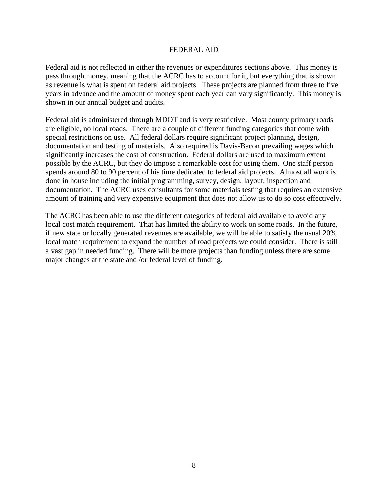#### FEDERAL AID

Federal aid is not reflected in either the revenues or expenditures sections above. This money is pass through money, meaning that the ACRC has to account for it, but everything that is shown as revenue is what is spent on federal aid projects. These projects are planned from three to five years in advance and the amount of money spent each year can vary significantly. This money is shown in our annual budget and audits.

Federal aid is administered through MDOT and is very restrictive. Most county primary roads are eligible, no local roads. There are a couple of different funding categories that come with special restrictions on use. All federal dollars require significant project planning, design, documentation and testing of materials. Also required is Davis-Bacon prevailing wages which significantly increases the cost of construction. Federal dollars are used to maximum extent possible by the ACRC, but they do impose a remarkable cost for using them. One staff person spends around 80 to 90 percent of his time dedicated to federal aid projects. Almost all work is done in house including the initial programming, survey, design, layout, inspection and documentation. The ACRC uses consultants for some materials testing that requires an extensive amount of training and very expensive equipment that does not allow us to do so cost effectively.

The ACRC has been able to use the different categories of federal aid available to avoid any local cost match requirement. That has limited the ability to work on some roads. In the future, if new state or locally generated revenues are available, we will be able to satisfy the usual 20% local match requirement to expand the number of road projects we could consider. There is still a vast gap in needed funding. There will be more projects than funding unless there are some major changes at the state and /or federal level of funding.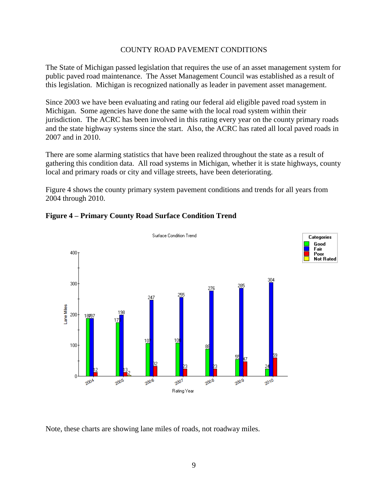## COUNTY ROAD PAVEMENT CONDITIONS

The State of Michigan passed legislation that requires the use of an asset management system for public paved road maintenance. The Asset Management Council was established as a result of this legislation. Michigan is recognized nationally as leader in pavement asset management.

Since 2003 we have been evaluating and rating our federal aid eligible paved road system in Michigan. Some agencies have done the same with the local road system within their jurisdiction. The ACRC has been involved in this rating every year on the county primary roads and the state highway systems since the start. Also, the ACRC has rated all local paved roads in 2007 and in 2010.

There are some alarming statistics that have been realized throughout the state as a result of gathering this condition data. All road systems in Michigan, whether it is state highways, county local and primary roads or city and village streets, have been deteriorating.

Figure 4 shows the county primary system pavement conditions and trends for all years from 2004 through 2010.



# **Figure 4 – Primary County Road Surface Condition Trend**

Note, these charts are showing lane miles of roads, not roadway miles.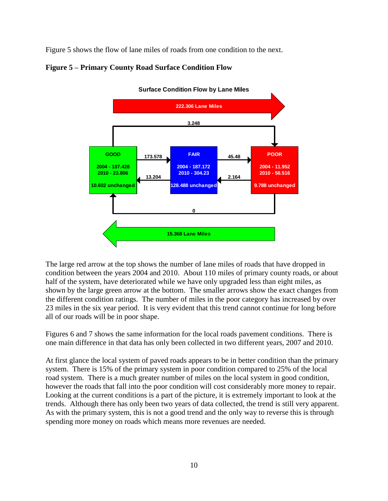Figure 5 shows the flow of lane miles of roads from one condition to the next.





**Surface Condition Flow by Lane Miles**

The large red arrow at the top shows the number of lane miles of roads that have dropped in condition between the years 2004 and 2010. About 110 miles of primary county roads, or about half of the system, have deteriorated while we have only upgraded less than eight miles, as shown by the large green arrow at the bottom. The smaller arrows show the exact changes from the different condition ratings. The number of miles in the poor category has increased by over 23 miles in the six year period. It is very evident that this trend cannot continue for long before all of our roads will be in poor shape.

Figures 6 and 7 shows the same information for the local roads pavement conditions. There is one main difference in that data has only been collected in two different years, 2007 and 2010.

At first glance the local system of paved roads appears to be in better condition than the primary system. There is 15% of the primary system in poor condition compared to 25% of the local road system. There is a much greater number of miles on the local system in good condition, however the roads that fall into the poor condition will cost considerably more money to repair. Looking at the current conditions is a part of the picture, it is extremely important to look at the trends. Although there has only been two years of data collected, the trend is still very apparent. As with the primary system, this is not a good trend and the only way to reverse this is through spending more money on roads which means more revenues are needed.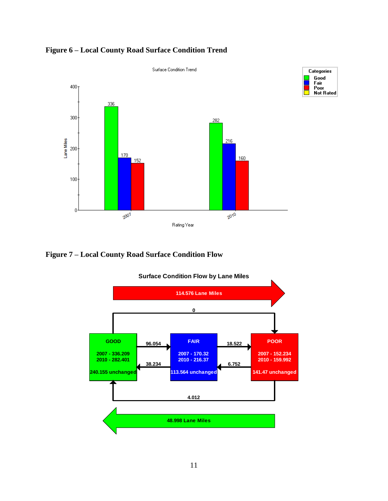

**Figure 6 – Local County Road Surface Condition Trend**





**Surface Condition Flow by Lane Miles**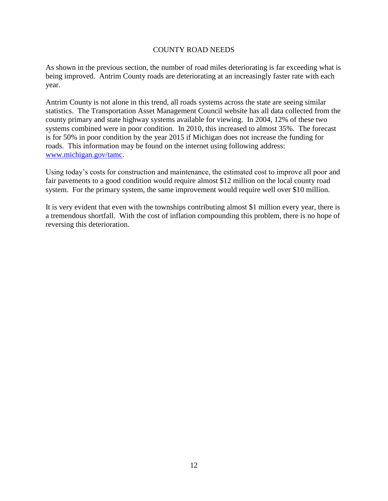## COUNTY ROAD NEEDS

As shown in the previous section, the number of road miles deteriorating is far exceeding what is being improved. Antrim County roads are deteriorating at an increasingly faster rate with each year.

Antrim County is not alone in this trend, all roads systems across the state are seeing similar statistics. The Transportation Asset Management Council website has all data collected from the county primary and state highway systems available for viewing. In 2004, 12% of these two systems combined were in poor condition. In 2010, this increased to almost 35%. The forecast is for 50% in poor condition by the year 2015 if Michigan does not increase the funding for roads. This information may be found on the internet using following address: [www.michigan.gov/tamc.](http://www.michigan.gov/tamc)

Using today's costs for construction and maintenance, the estimated cost to improve all poor and fair pavements to a good condition would require almost \$12 million on the local county road system. For the primary system, the same improvement would require well over \$10 million.

It is very evident that even with the townships contributing almost \$1 million every year, there is a tremendous shortfall. With the cost of inflation compounding this problem, there is no hope of reversing this deterioration.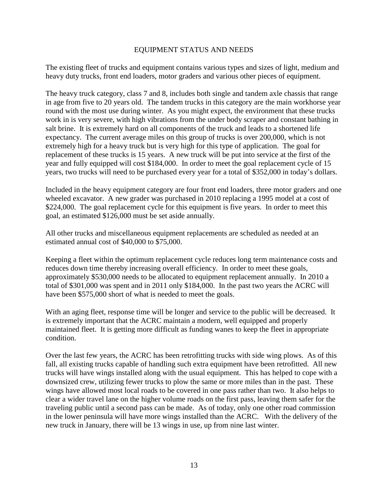#### EQUIPMENT STATUS AND NEEDS

The existing fleet of trucks and equipment contains various types and sizes of light, medium and heavy duty trucks, front end loaders, motor graders and various other pieces of equipment.

The heavy truck category, class 7 and 8, includes both single and tandem axle chassis that range in age from five to 20 years old. The tandem trucks in this category are the main workhorse year round with the most use during winter. As you might expect, the environment that these trucks work in is very severe, with high vibrations from the under body scraper and constant bathing in salt brine. It is extremely hard on all components of the truck and leads to a shortened life expectancy. The current average miles on this group of trucks is over 200,000, which is not extremely high for a heavy truck but is very high for this type of application. The goal for replacement of these trucks is 15 years. A new truck will be put into service at the first of the year and fully equipped will cost \$184,000. In order to meet the goal replacement cycle of 15 years, two trucks will need to be purchased every year for a total of \$352,000 in today's dollars.

Included in the heavy equipment category are four front end loaders, three motor graders and one wheeled excavator. A new grader was purchased in 2010 replacing a 1995 model at a cost of \$224,000. The goal replacement cycle for this equipment is five years. In order to meet this goal, an estimated \$126,000 must be set aside annually.

All other trucks and miscellaneous equipment replacements are scheduled as needed at an estimated annual cost of \$40,000 to \$75,000.

Keeping a fleet within the optimum replacement cycle reduces long term maintenance costs and reduces down time thereby increasing overall efficiency. In order to meet these goals, approximately \$530,000 needs to be allocated to equipment replacement annually. In 2010 a total of \$301,000 was spent and in 2011 only \$184,000. In the past two years the ACRC will have been \$575,000 short of what is needed to meet the goals.

With an aging fleet, response time will be longer and service to the public will be decreased. It is extremely important that the ACRC maintain a modern, well equipped and properly maintained fleet. It is getting more difficult as funding wanes to keep the fleet in appropriate condition.

Over the last few years, the ACRC has been retrofitting trucks with side wing plows. As of this fall, all existing trucks capable of handling such extra equipment have been retrofitted. All new trucks will have wings installed along with the usual equipment. This has helped to cope with a downsized crew, utilizing fewer trucks to plow the same or more miles than in the past. These wings have allowed most local roads to be covered in one pass rather than two. It also helps to clear a wider travel lane on the higher volume roads on the first pass, leaving them safer for the traveling public until a second pass can be made. As of today, only one other road commission in the lower peninsula will have more wings installed than the ACRC. With the delivery of the new truck in January, there will be 13 wings in use, up from nine last winter.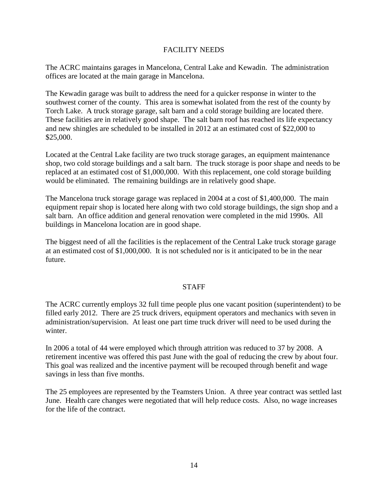## FACILITY NEEDS

The ACRC maintains garages in Mancelona, Central Lake and Kewadin. The administration offices are located at the main garage in Mancelona.

The Kewadin garage was built to address the need for a quicker response in winter to the southwest corner of the county. This area is somewhat isolated from the rest of the county by Torch Lake. A truck storage garage, salt barn and a cold storage building are located there. These facilities are in relatively good shape. The salt barn roof has reached its life expectancy and new shingles are scheduled to be installed in 2012 at an estimated cost of \$22,000 to \$25,000.

Located at the Central Lake facility are two truck storage garages, an equipment maintenance shop, two cold storage buildings and a salt barn. The truck storage is poor shape and needs to be replaced at an estimated cost of \$1,000,000. With this replacement, one cold storage building would be eliminated. The remaining buildings are in relatively good shape.

The Mancelona truck storage garage was replaced in 2004 at a cost of \$1,400,000. The main equipment repair shop is located here along with two cold storage buildings, the sign shop and a salt barn. An office addition and general renovation were completed in the mid 1990s. All buildings in Mancelona location are in good shape.

The biggest need of all the facilities is the replacement of the Central Lake truck storage garage at an estimated cost of \$1,000,000. It is not scheduled nor is it anticipated to be in the near future.

# **STAFF**

The ACRC currently employs 32 full time people plus one vacant position (superintendent) to be filled early 2012. There are 25 truck drivers, equipment operators and mechanics with seven in administration/supervision. At least one part time truck driver will need to be used during the winter.

In 2006 a total of 44 were employed which through attrition was reduced to 37 by 2008. A retirement incentive was offered this past June with the goal of reducing the crew by about four. This goal was realized and the incentive payment will be recouped through benefit and wage savings in less than five months.

The 25 employees are represented by the Teamsters Union. A three year contract was settled last June. Health care changes were negotiated that will help reduce costs. Also, no wage increases for the life of the contract.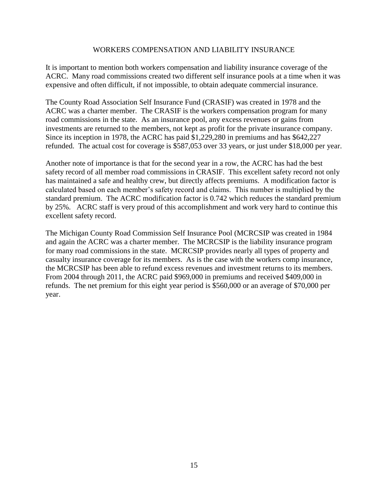### WORKERS COMPENSATION AND LIABILITY INSURANCE

It is important to mention both workers compensation and liability insurance coverage of the ACRC. Many road commissions created two different self insurance pools at a time when it was expensive and often difficult, if not impossible, to obtain adequate commercial insurance.

The County Road Association Self Insurance Fund (CRASIF) was created in 1978 and the ACRC was a charter member. The CRASIF is the workers compensation program for many road commissions in the state. As an insurance pool, any excess revenues or gains from investments are returned to the members, not kept as profit for the private insurance company. Since its inception in 1978, the ACRC has paid \$1,229,280 in premiums and has \$642,227 refunded. The actual cost for coverage is \$587,053 over 33 years, or just under \$18,000 per year.

Another note of importance is that for the second year in a row, the ACRC has had the best safety record of all member road commissions in CRASIF. This excellent safety record not only has maintained a safe and healthy crew, but directly affects premiums. A modification factor is calculated based on each member's safety record and claims. This number is multiplied by the standard premium. The ACRC modification factor is 0.742 which reduces the standard premium by 25%. ACRC staff is very proud of this accomplishment and work very hard to continue this excellent safety record.

The Michigan County Road Commission Self Insurance Pool (MCRCSIP was created in 1984 and again the ACRC was a charter member. The MCRCSIP is the liability insurance program for many road commissions in the state. MCRCSIP provides nearly all types of property and casualty insurance coverage for its members. As is the case with the workers comp insurance, the MCRCSIP has been able to refund excess revenues and investment returns to its members. From 2004 through 2011, the ACRC paid \$969,000 in premiums and received \$409,000 in refunds. The net premium for this eight year period is \$560,000 or an average of \$70,000 per year.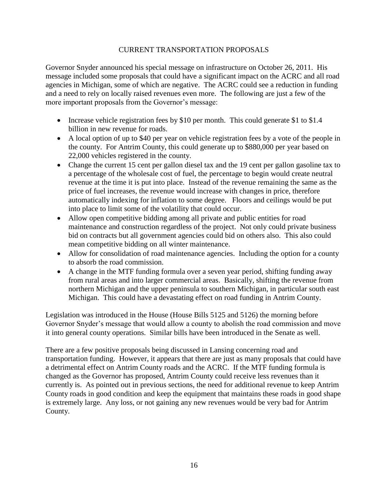## CURRENT TRANSPORTATION PROPOSALS

Governor Snyder announced his special message on infrastructure on October 26, 2011. His message included some proposals that could have a significant impact on the ACRC and all road agencies in Michigan, some of which are negative. The ACRC could see a reduction in funding and a need to rely on locally raised revenues even more. The following are just a few of the more important proposals from the Governor's message:

- Increase vehicle registration fees by \$10 per month. This could generate \$1 to \$1.4 billion in new revenue for roads.
- A local option of up to \$40 per year on vehicle registration fees by a vote of the people in the county. For Antrim County, this could generate up to \$880,000 per year based on 22,000 vehicles registered in the county.
- Change the current 15 cent per gallon diesel tax and the 19 cent per gallon gasoline tax to a percentage of the wholesale cost of fuel, the percentage to begin would create neutral revenue at the time it is put into place. Instead of the revenue remaining the same as the price of fuel increases, the revenue would increase with changes in price, therefore automatically indexing for inflation to some degree. Floors and ceilings would be put into place to limit some of the volatility that could occur.
- Allow open competitive bidding among all private and public entities for road maintenance and construction regardless of the project. Not only could private business bid on contracts but all government agencies could bid on others also. This also could mean competitive bidding on all winter maintenance.
- Allow for consolidation of road maintenance agencies. Including the option for a county to absorb the road commission.
- A change in the MTF funding formula over a seven year period, shifting funding away from rural areas and into larger commercial areas. Basically, shifting the revenue from northern Michigan and the upper peninsula to southern Michigan, in particular south east Michigan. This could have a devastating effect on road funding in Antrim County.

Legislation was introduced in the House (House Bills 5125 and 5126) the morning before Governor Snyder's message that would allow a county to abolish the road commission and move it into general county operations. Similar bills have been introduced in the Senate as well.

There are a few positive proposals being discussed in Lansing concerning road and transportation funding. However, it appears that there are just as many proposals that could have a detrimental effect on Antrim County roads and the ACRC. If the MTF funding formula is changed as the Governor has proposed, Antrim County could receive less revenues than it currently is. As pointed out in previous sections, the need for additional revenue to keep Antrim County roads in good condition and keep the equipment that maintains these roads in good shape is extremely large. Any loss, or not gaining any new revenues would be very bad for Antrim County.